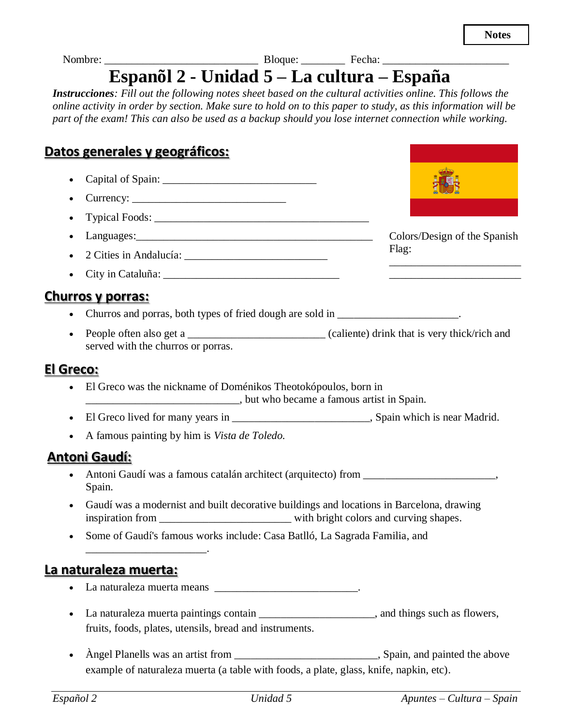Colors/Design of the Spanish

\_\_\_\_\_\_\_\_\_\_\_\_\_\_\_\_\_\_\_\_\_\_\_\_ \_\_\_\_\_\_\_\_\_\_\_\_\_\_\_\_\_\_\_\_\_\_\_\_

Flag:

Nombre: \_\_\_\_\_\_\_\_\_\_\_\_\_\_\_\_\_\_\_\_\_\_\_\_\_\_\_\_ Bloque: \_\_\_\_\_\_\_\_ Fecha: \_\_\_\_\_\_\_\_\_\_\_\_\_\_\_\_\_\_\_\_\_\_\_

# **Espanõl 2 - Unidad 5 – La cultura – España**

*Instrucciones: Fill out the following notes sheet based on the cultural activities online. This follows the online activity in order by section. Make sure to hold on to this paper to study, as this information will be part of the exam! This can also be used as a backup should you lose internet connection while working.*

# **Datos generales y geográficos:**

- Capital of Spain: \_\_\_\_\_\_\_\_\_\_\_\_\_\_\_\_\_\_\_\_\_\_\_\_\_\_\_\_
- Currency:
- Typical Foods:
- Languages:\_\_\_\_\_\_\_\_\_\_\_\_\_\_\_\_\_\_\_\_\_\_\_\_\_\_\_\_\_\_\_\_\_\_\_\_\_\_\_\_\_\_\_
- 2 Cities in Andalucía: \_\_\_\_\_\_\_\_\_\_\_\_\_\_\_\_\_\_\_\_\_\_\_\_\_\_
- City in Cataluña: \_\_\_\_\_\_\_\_\_\_\_\_\_\_\_\_\_\_\_\_\_\_\_\_\_\_\_\_\_\_\_\_

#### **Churros y porras:**

- Churros and porras, both types of fried dough are sold in
- People often also get a  $\Box$  (caliente) drink that is very thick/rich and served with the churros or porras.

#### **El Greco:**

- El Greco was the nickname of Doménikos Theotokópoulos, born in \_\_\_\_\_\_\_\_\_\_\_\_\_\_\_\_\_\_\_\_\_\_\_\_\_\_\_\_, but who became a famous artist in Spain.
- El Greco lived for many years in \_\_\_\_\_\_\_\_\_\_\_\_\_\_\_\_\_\_\_\_\_\_\_\_\_\_\_\_\_\_, Spain which is near Madrid.
- A famous painting by him is *Vista de Toledo.*

#### **Antoni Gaudí:**

- Antoni Gaudí was a famous catalán architect (arquitecto) from \_\_\_\_\_\_\_\_\_\_\_\_\_\_\_\_\_\_\_\_\_\_\_\_, Spain.
- Gaudí was a modernist and built decorative buildings and locations in Barcelona, drawing inspiration from \_\_\_\_\_\_\_\_\_\_\_\_\_\_\_\_\_\_\_\_\_\_\_\_ with bright colors and curving shapes.
- Some of Gaudí's famous works include: Casa Batlló, La Sagrada Familia, and

#### **La naturaleza muerta:**

\_\_\_\_\_\_\_\_\_\_\_\_\_\_\_\_\_\_\_\_\_\_.

- La naturaleza muerta means  $\qquad \qquad \ldots$
- La naturaleza muerta paintings contain **expressed and the example of the set of the set of the set of the set of the set of the set of the set of the set of the set of the set of the set of the set of the set of the set** fruits, foods, plates, utensils, bread and instruments.
- Angel Planells was an artist from \_\_\_\_\_\_\_\_\_\_\_\_\_\_\_\_\_\_\_\_\_\_\_\_\_\_\_, Spain, and painted the above example of naturaleza muerta (a table with foods, a plate, glass, knife, napkin, etc).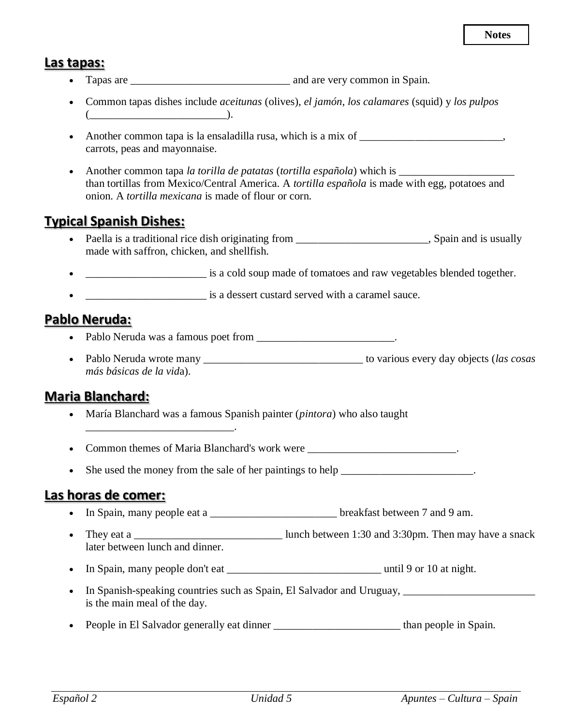#### **Las tapas:**

- Tapas are \_\_\_\_\_\_\_\_\_\_\_\_\_\_\_\_\_\_\_\_\_\_\_\_\_\_\_\_\_ and are very common in Spain.
- Common tapas dishes include *aceitunas* (olives), *el jamón*, *los calamares* (squid) y *los pulpos*  $($
- Another common tapa is la ensaladilla rusa, which is a mix of \_\_\_\_\_\_\_\_\_\_\_\_\_\_\_\_\_\_\_\_\_\_\_, carrots, peas and mayonnaise.
- Another common tapa *la torilla de patatas* (*tortilla española*) which is \_\_\_\_\_\_\_\_\_\_\_\_\_\_\_\_\_\_\_\_\_ than tortillas from Mexico/Central America. A *tortilla española* is made with egg, potatoes and onion. A *tortilla mexicana* is made of flour or corn.

## **Typical Spanish Dishes:**

- Paella is a traditional rice dish originating from , Spain and is usually made with saffron, chicken, and shellfish.
- is a cold soup made of tomatoes and raw vegetables blended together.
- **• b is a dessert custard served with a caramel sauce.**

## **Pablo Neruda:**

- Pablo Neruda was a famous poet from \_\_\_\_\_\_\_\_\_\_\_\_\_\_\_\_\_\_\_\_\_\_\_\_\_.
- Pablo Neruda wrote many **b** to various every day objects (*las cosas* **b** to various every day objects (*las cosas más básicas de la vid*a).

## **Maria Blanchard:**

\_\_\_\_\_\_\_\_\_\_\_\_\_\_\_\_\_\_\_\_\_\_\_\_\_\_\_.

• María Blanchard was a famous Spanish painter (*pintora*) who also taught

• Common themes of Maria Blanchard's work were  $\blacksquare$ 

• She used the money from the sale of her paintings to help \_\_\_\_\_\_\_\_\_\_\_\_\_\_\_\_\_\_\_\_\_\_\_\_.

#### **Las horas de comer:**

- In Spain, many people eat a \_\_\_\_\_\_\_\_\_\_\_\_\_\_\_\_\_\_\_\_\_\_\_\_\_\_\_\_ breakfast between 7 and 9 am.
- They eat a \_\_\_\_\_\_\_\_\_\_\_\_\_\_\_\_\_\_\_\_\_\_\_\_\_\_\_ lunch between 1:30 and 3:30pm. Then may have a snack later between lunch and dinner.
- In Spain, many people don't eat \_\_\_\_\_\_\_\_\_\_\_\_\_\_\_\_\_\_\_\_\_\_\_\_\_\_\_\_ until 9 or 10 at night.
- In Spanish-speaking countries such as Spain, El Salvador and Uruguay, is the main meal of the day.
- People in El Salvador generally eat dinner the subset of the spain.